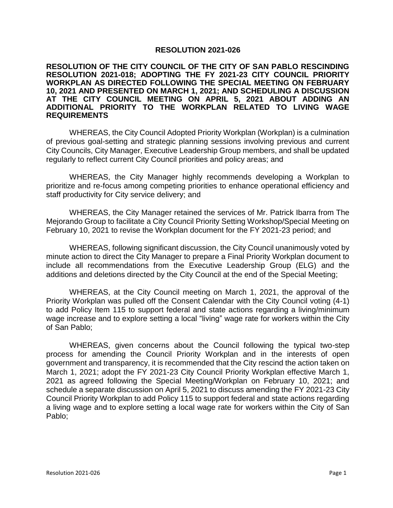## **RESOLUTION 2021-026**

## **RESOLUTION OF THE CITY COUNCIL OF THE CITY OF SAN PABLO RESCINDING RESOLUTION 2021-018; ADOPTING THE FY 2021-23 CITY COUNCIL PRIORITY WORKPLAN AS DIRECTED FOLLOWING THE SPECIAL MEETING ON FEBRUARY 10, 2021 AND PRESENTED ON MARCH 1, 2021; AND SCHEDULING A DISCUSSION AT THE CITY COUNCIL MEETING ON APRIL 5, 2021 ABOUT ADDING AN ADDITIONAL PRIORITY TO THE WORKPLAN RELATED TO LIVING WAGE REQUIREMENTS**

WHEREAS, the City Council Adopted Priority Workplan (Workplan) is a culmination of previous goal-setting and strategic planning sessions involving previous and current City Councils, City Manager, Executive Leadership Group members, and shall be updated regularly to reflect current City Council priorities and policy areas; and

WHEREAS, the City Manager highly recommends developing a Workplan to prioritize and re-focus among competing priorities to enhance operational efficiency and staff productivity for City service delivery; and

WHEREAS, the City Manager retained the services of Mr. Patrick Ibarra from The Mejorando Group to facilitate a City Council Priority Setting Workshop/Special Meeting on February 10, 2021 to revise the Workplan document for the FY 2021-23 period; and

WHEREAS, following significant discussion, the City Council unanimously voted by minute action to direct the City Manager to prepare a Final Priority Workplan document to include all recommendations from the Executive Leadership Group (ELG) and the additions and deletions directed by the City Council at the end of the Special Meeting;

WHEREAS, at the City Council meeting on March 1, 2021, the approval of the Priority Workplan was pulled off the Consent Calendar with the City Council voting (4-1) to add Policy Item 115 to support federal and state actions regarding a living/minimum wage increase and to explore setting a local "living" wage rate for workers within the City of San Pablo;

WHEREAS, given concerns about the Council following the typical two-step process for amending the Council Priority Workplan and in the interests of open government and transparency, it is recommended that the City rescind the action taken on March 1, 2021; adopt the FY 2021-23 City Council Priority Workplan effective March 1, 2021 as agreed following the Special Meeting/Workplan on February 10, 2021; and schedule a separate discussion on April 5, 2021 to discuss amending the FY 2021-23 City Council Priority Workplan to add Policy 115 to support federal and state actions regarding a living wage and to explore setting a local wage rate for workers within the City of San Pablo;